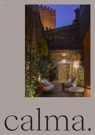

## $C<sub>d</sub>$ WWW.CALMAOUTDOOR.COM INFO@CALMA.CAT INSTAGRAM: @CALMAOUTDOOR 1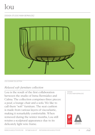### DESIGN: STUDIO INMA BERMUDEZ



LOU LOUNGE COLLECTION

### *Relaxed soft-furniture collection*

Lou is the result of the first collaboration between the studio of Inma Bermúdez and Calma. The collection comprises three pieces: a pouf, a lounge chair and a sofa. We like to call them "soft" furniture. The seat cushion is made from various layers of viscoelastic, making it remarkably comfortable. When removed during the winter months, Lou still retains a sculptural appearance due to its delicately light wire frame.

DESIGN: STUDIO INMA BERMUDEZ



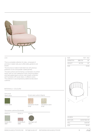

### LOU

This is a complete collection for relax , composed of armchair, 2 seater sofa, pouf, coffee table, gardener and brazier.

The structure is made of solid steel rod, with previous protection of zinc and powder coated painted.

The seat cushions are formed by a combination of comfort foams, with an inner waterproof cover of technical fabric and heat-sealed seams, and an outer sheath confection with Sunbrella LOPI acrylic fabric, in different colors. The collection is accompanied by additional decoration cushions.

| SIZE            |               | RFF: 352 |
|-----------------|---------------|----------|
| <b>DIÁMETER</b> | <b>Ø88 CM</b> | 35″      |
| <b>HEIGHT</b>   | 62 CM         | 24"      |
| N W             |               | 18 KG    |



| UN/ROX <sup>.</sup> | 1/1         |
|---------------------|-------------|
| ROX SIZFY           | 92X87X68 CM |
| $V \cap \cdot$      | 0.55M3      |
| GW·                 | 25KG        |

### MATERIALS / COLOURS

### Estructura Steel colour **Acrylic seat cushion (Agora)**

Green 6003



Old fashion sand 9193

### Decorative cushions (Sunbrella)

50x50 cm 50x35 cm ø 50 cm



Solids Mint 3967





18011

|  | WWW.CALMAOUTDOOR.COM INFO@CALMA.CAT INSTAGRAM: @CALMAOUTDOOR |  |
|--|--------------------------------------------------------------|--|

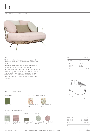## $\overline{1}$

### DESIGN: STUDIO INMA BERMUDEZ



### LOU

This is a complete collection for relax , composed of armchair, 2 seater sofa, pouf, coffee table, gardener and brazier.

The structure is made of solid steel rod, with previous protection of zinc and powder coated painted.

The seat cushions are formed by a combination of comfort foams, with an inner waterproof cover of technical fabric and heat-sealed seams, and an outer sheath confection with Sunbrella LOPI acrylic fabric, in different colors. The collection is accompanied by additional decoration cushions.

| SIZE          |        | RFF: 353 |
|---------------|--------|----------|
| WIDTH         | 148 CM | 58"      |
| <b>DEPTH</b>  | 83 CM  | 33"      |
| <b>HFIGHT</b> | 62 CM  | 24"      |
| N W           |        | 27 KG    |



| Green 6003          | Decorative cushions (Sunbrella) | Old fashion blush<br>9190 |                        | 9193 | Old fashion sand     |
|---------------------|---------------------------------|---------------------------|------------------------|------|----------------------|
| 50x50 cm            |                                 | 50x35 cm                  | ø 50 cm                |      |                      |
| Solids Mint<br>3967 | Solids Blush<br>3965            | Heritage Leaf<br>18011    | Heritage Leaf<br>18011 |      | Solids Blush<br>3965 |

Acrylic seat cushion (Agora)

### MATERIALS / COLOURS

**Steel ctolicaur** 

WWW.CALMAOUTDOOR.COM INFO@CALMA.CAT INSTAGRAM: @CALMAOUTDOOR 4



UN/BOX: 1/1 BOX SIZE: 152X87X68 CM VOL: 0,90 M3 G.W.: 37 KG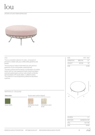### $\overline{I}$

### DESIGN: STUDIO INMA BERMUDEZ



### LOU

This is a complete collection for relax , composed of armchair, 2 seater sofa, pouf, coffee table, gardener and brazier.

The structure is made of solid steel rod, with previous protection of zinc and powder coated painted.

The seat cushions are formed by a combination of comfort foams, with an inner waterproof cover of technical fabric and heat-sealed seams, and an outer sheath confection with Sunbrella LOPI acrylic fabric, in different colors. The collection is accompanied by additional decoration cushions.

| SIZE.           |        | RFF: 354 |
|-----------------|--------|----------|
| <b>DIÁMETER</b> | 083 CM | 31"      |
| <b>HEIGHT</b>   | 40 CM  | 16"      |
| N W             |        | 15 KG    |



| UN/BOX:   | 1/1         |
|-----------|-------------|
| BOX SIZE: | 84X84X44 CM |
| VOL:      | 0.31 M3     |
| GW·       | 18 KG       |

### MATERIALS / COLOURS

### **Estere inchoirau n**

Green 6003 Old fashion blush



Acrylic seat cushion (Agora)

9190



Old fashion sand 9193

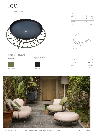lou

DESIGN: STUDIO INMA BERMUDEZ SIZE REF: 353 WIDTH 148 CM 58" DEPTH 83 CM 33" HEIGHT 62 CM 24" N.W. 27 KG  $\bullet$ H  $\circ$ W D MATERIALS / COLOURS Cuenco de Acero Stete *I* colorau r Stell vesselUN/BOX: 1/1 BOX SIZE: 152X87X68 CM VOL: 0,90 M3 G.W.: 37 KG Green 6003 black 13



Æ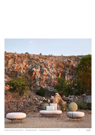